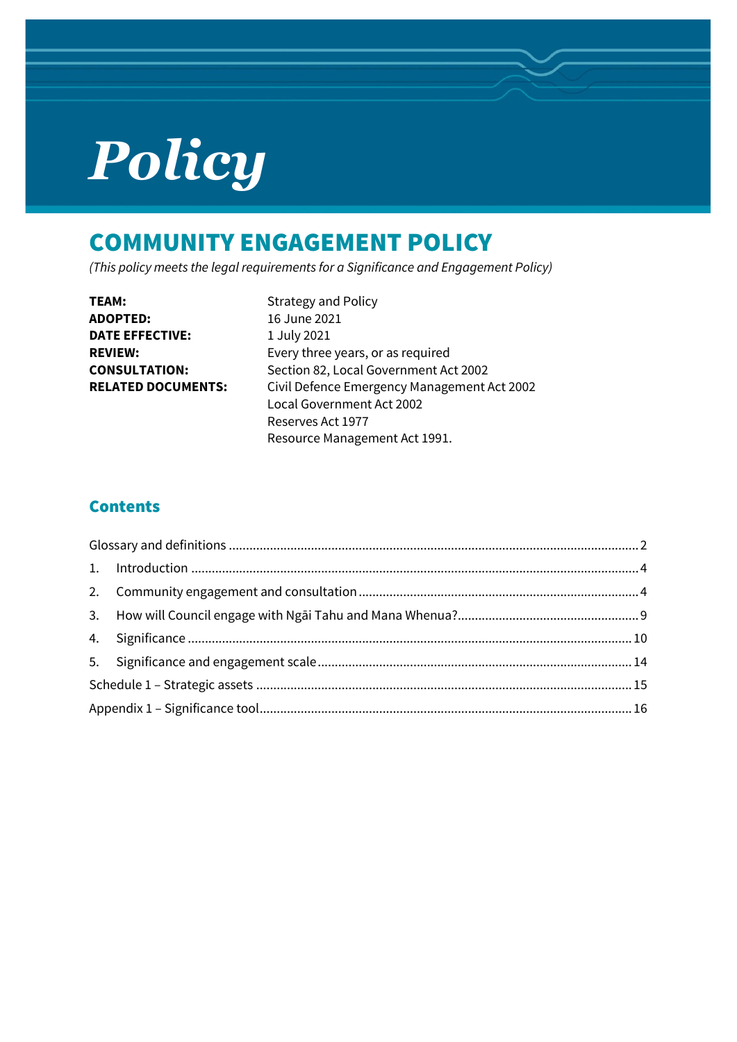# *Policy*

# COMMUNITY ENGAGEMENT POLICY

*(This policy meets the legal requirements for a Significance and Engagement Policy)*

| TEAM:                     |  |
|---------------------------|--|
| <b>ADOPTED:</b>           |  |
| DATE EFFECTIVE:           |  |
| <b>REVIEW:</b>            |  |
| <b>CONSULTATION:</b>      |  |
| <b>RELATED DOCUMENTS:</b> |  |
|                           |  |

**Strategy and Policy ADOPTED:** 16 June 2021 **DATE EFFECTIVE:** 1 July 2021 Every three years, or as required Section 82, Local Government Act 2002 **RELATED DOCUMENTS:** Civil Defence Emergency Management Act 2002 Local Government Act 2002 Reserves Act 1977 Resource Management Act 1991.

### **Contents**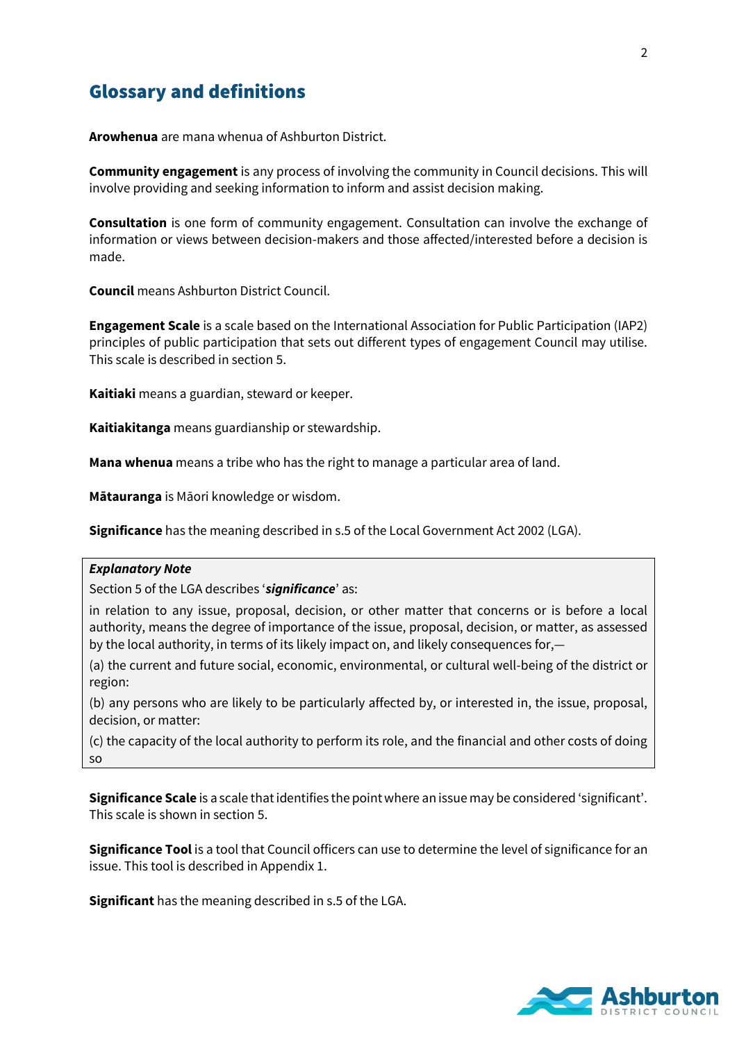## <span id="page-1-0"></span>Glossary and definitions

**Arowhenua** are mana whenua of Ashburton District.

**Community engagement** is any process of involving the community in Council decisions. This will involve providing and seeking information to inform and assist decision making.

**Consultation** is one form of community engagement. Consultation can involve the exchange of information or views between decision-makers and those affected/interested before a decision is made.

**Council** means Ashburton District Council.

**Engagement Scale** is a scale based on the International Association for Public Participation (IAP2) principles of public participation that sets out different types of engagement Council may utilise. This scale is described in section 5.

**Kaitiaki** means a guardian, steward or keeper.

**Kaitiakitanga** means guardianship or stewardship.

**Mana whenua** means a tribe who has the right to manage a particular area of land.

**Mātauranga** is Māori knowledge or wisdom.

**Significance** has the meaning described in s.5 of the Local Government Act 2002 (LGA).

#### *Explanatory Note*

Section 5 of the LGA describes '*significance*' as:

in relation to any issue, proposal, decision, or other matter that concerns or is before a local authority, means the degree of importance of the issue, proposal, decision, or matter, as assessed by the local authority, in terms of its likely impact on, and likely consequences for,—

(a) the current and future social, economic, environmental, or cultural well-being of the district or region:

(b) any persons who are likely to be particularly affected by, or interested in, the issue, proposal, decision, or matter:

(c) the capacity of the local authority to perform its role, and the financial and other costs of doing so

**Significance Scale** is a scale that identifies the point where an issue may be considered 'significant'. This scale is shown in section 5.

**Significance Tool** is a tool that Council officers can use to determine the level of significance for an issue. This tool is described in Appendix 1.

**Significant** has the meaning described in s.5 of the LGA.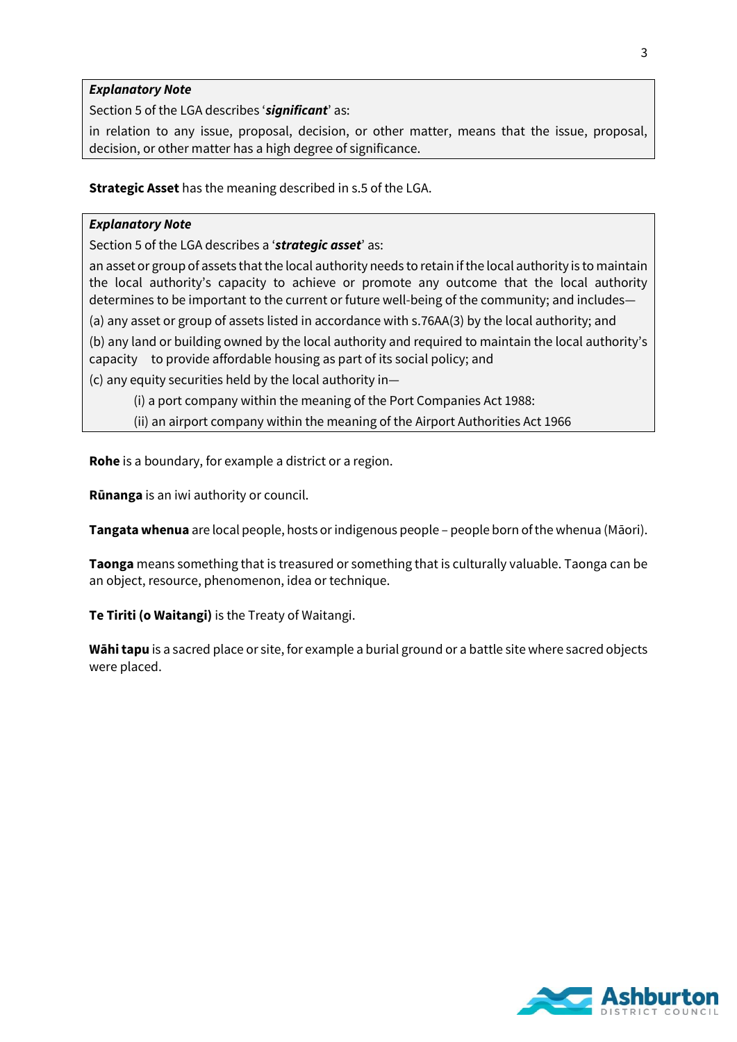#### *Explanatory Note*

Section 5 of the LGA describes '*significant*' as:

in relation to any issue, proposal, decision, or other matter, means that the issue, proposal, decision, or other matter has a high degree of significance.

**Strategic Asset** has the meaning described in s.5 of the LGA.

#### *Explanatory Note*

Section 5 of the LGA describes a '*strategic asset*' as:

an asset or group of assets that the local authority needs to retain if the local authority is to maintain the local authority's capacity to achieve or promote any outcome that the local authority determines to be important to the current or future well-being of the community; and includes—

(a) any asset or group of assets listed in accordance with s.76AA(3) by the local authority; and

(b) any land or building owned by the local authority and required to maintain the local authority's capacity to provide affordable housing as part of its social policy; and

(c) any equity securities held by the local authority in—

(i) a port company within the meaning of the Port Companies Act 1988:

(ii) an airport company within the meaning of the Airport Authorities Act 1966

**Rohe** is a boundary, for example a district or a region.

**Rūnanga** is an iwi authority or council.

**Tangata whenua** are local people, hosts or indigenous people – people born of the whenua (Māori).

**Taonga** means something that is treasured or something that is culturally valuable. Taonga can be an object, resource, phenomenon, idea or technique.

**Te Tiriti (o Waitangi)** is the Treaty of Waitangi.

**Wāhi tapu** is a sacred place or site, for example a burial ground or a battle site where sacred objects were placed.

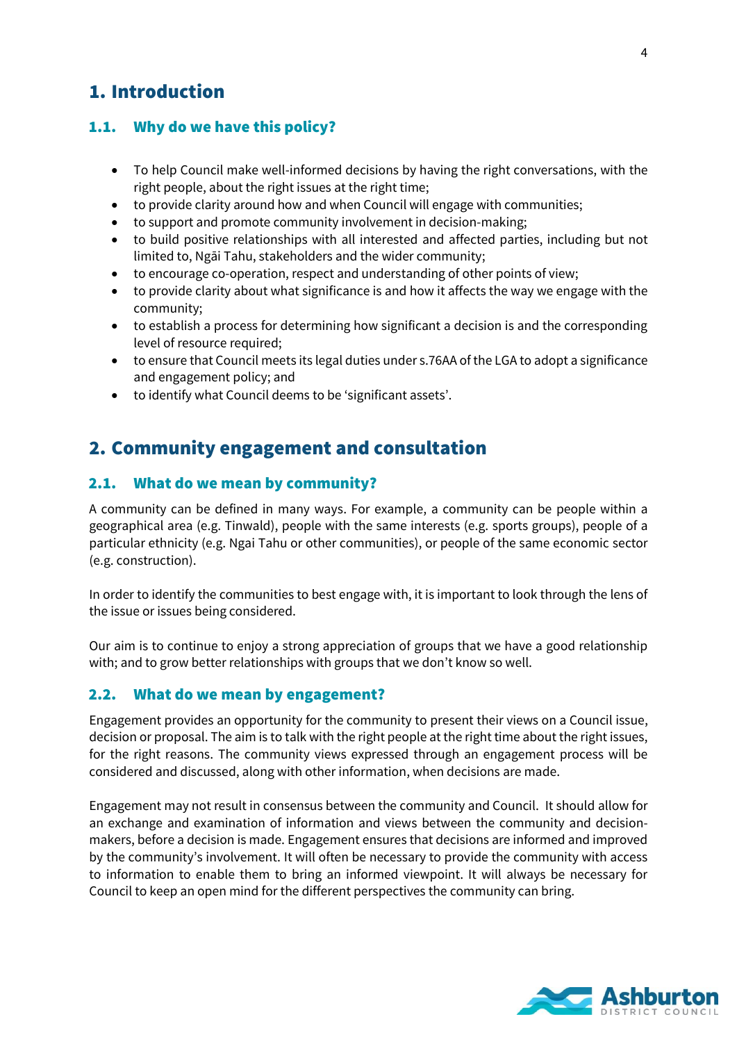# <span id="page-3-0"></span>1. Introduction

#### 1.1. Why do we have this policy?

- To help Council make well-informed decisions by having the right conversations, with the right people, about the right issues at the right time;
- to provide clarity around how and when Council will engage with communities;
- to support and promote community involvement in decision-making;
- to build positive relationships with all interested and affected parties, including but not limited to, Ngāi Tahu, stakeholders and the wider community;
- to encourage co-operation, respect and understanding of other points of view;
- to provide clarity about what significance is and how it affects the way we engage with the community;
- to establish a process for determining how significant a decision is and the corresponding level of resource required;
- to ensure that Council meets its legal duties under s.76AA of the LGA to adopt a significance and engagement policy; and
- to identify what Council deems to be 'significant assets'.

## <span id="page-3-1"></span>2. Community engagement and consultation

#### 2.1. What do we mean by community?

A community can be defined in many ways. For example, a community can be people within a geographical area (e.g. Tinwald), people with the same interests (e.g. sports groups), people of a particular ethnicity (e.g. Ngai Tahu or other communities), or people of the same economic sector (e.g. construction).

In order to identify the communities to best engage with, it is important to look through the lens of the issue or issues being considered.

Our aim is to continue to enjoy a strong appreciation of groups that we have a good relationship with; and to grow better relationships with groups that we don't know so well.

#### 2.2. What do we mean by engagement?

Engagement provides an opportunity for the community to present their views on a Council issue, decision or proposal. The aim is to talk with the right people at the right time about the right issues, for the right reasons. The community views expressed through an engagement process will be considered and discussed, along with other information, when decisions are made.

Engagement may not result in consensus between the community and Council. It should allow for an exchange and examination of information and views between the community and decisionmakers, before a decision is made. Engagement ensures that decisions are informed and improved by the community's involvement. It will often be necessary to provide the community with access to information to enable them to bring an informed viewpoint. It will always be necessary for Council to keep an open mind for the different perspectives the community can bring.

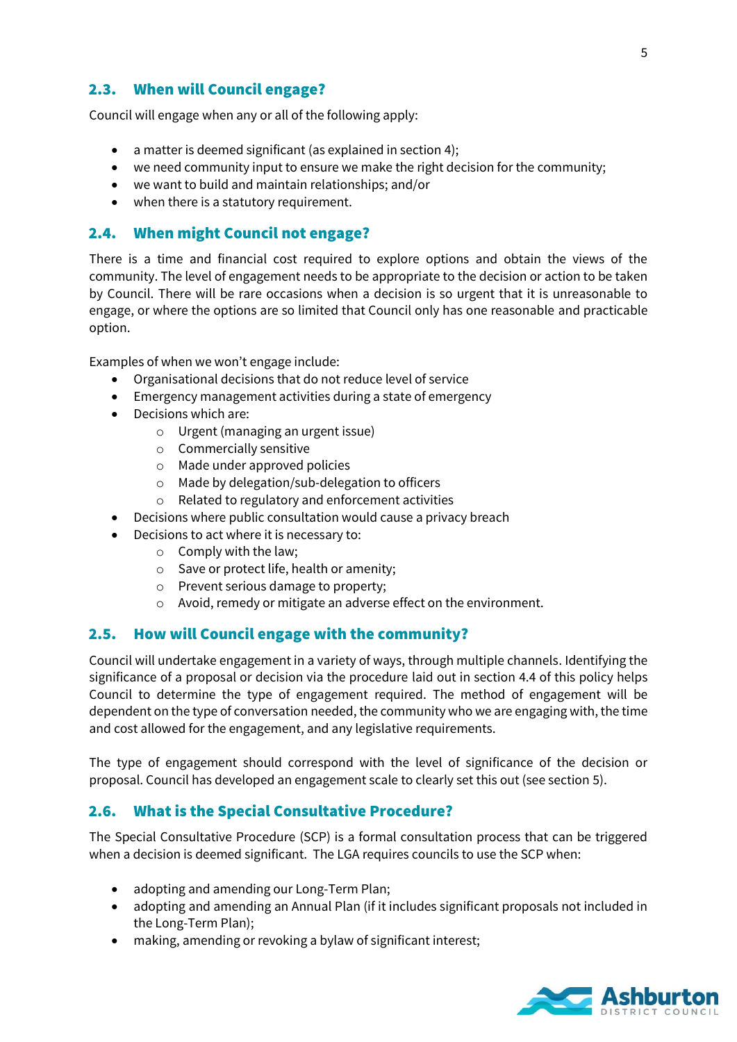#### 2.3. When will Council engage?

Council will engage when any or all of the following apply:

- a matter is deemed significant (as explained in section 4);
- we need community input to ensure we make the right decision for the community;
- we want to build and maintain relationships; and/or
- when there is a statutory requirement.

#### 2.4. When might Council not engage?

There is a time and financial cost required to explore options and obtain the views of the community. The level of engagement needs to be appropriate to the decision or action to be taken by Council. There will be rare occasions when a decision is so urgent that it is unreasonable to engage, or where the options are so limited that Council only has one reasonable and practicable option.

Examples of when we won't engage include:

- Organisational decisions that do not reduce level of service
- Emergency management activities during a state of emergency
- Decisions which are:
	- o Urgent (managing an urgent issue)
	- o Commercially sensitive
	- o Made under approved policies
	- o Made by delegation/sub-delegation to officers
	- o Related to regulatory and enforcement activities
	- Decisions where public consultation would cause a privacy breach
- Decisions to act where it is necessary to:
	- o Comply with the law;
	- o Save or protect life, health or amenity;
	- o Prevent serious damage to property;
	- o Avoid, remedy or mitigate an adverse effect on the environment.

#### 2.5. How will Council engage with the community?

Council will undertake engagement in a variety of ways, through multiple channels. Identifying the significance of a proposal or decision via the procedure laid out in section 4.4 of this policy helps Council to determine the type of engagement required. The method of engagement will be dependent on the type of conversation needed, the community who we are engaging with, the time and cost allowed for the engagement, and any legislative requirements.

The type of engagement should correspond with the level of significance of the decision or proposal. Council has developed an engagement scale to clearly set this out (see section 5).

#### 2.6. What is the Special Consultative Procedure?

The Special Consultative Procedure (SCP) is a formal consultation process that can be triggered when a decision is deemed significant. The LGA requires councils to use the SCP when:

- adopting and amending our Long-Term Plan;
- adopting and amending an Annual Plan (if it includes significant proposals not included in the Long-Term Plan);
- making, amending or revoking a bylaw of significant interest;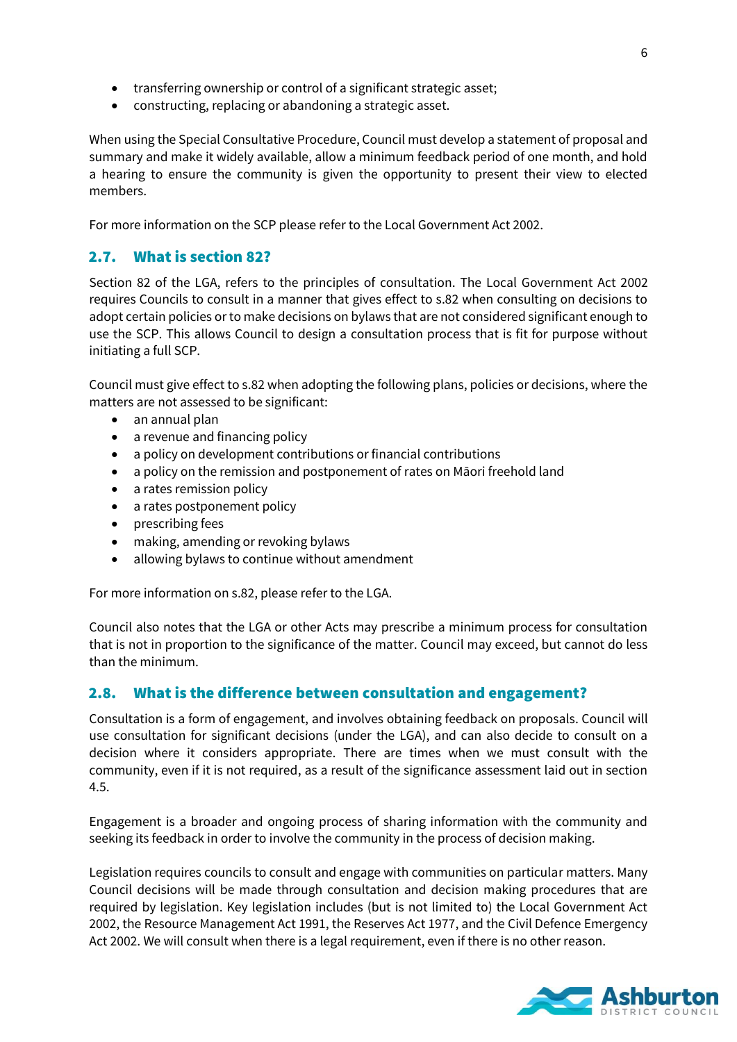- transferring ownership or control of a significant strategic asset;
- constructing, replacing or abandoning a strategic asset.

When using the Special Consultative Procedure, Council must develop a statement of proposal and summary and make it widely available, allow a minimum feedback period of one month, and hold a hearing to ensure the community is given the opportunity to present their view to elected members.

For more information on the SCP please refer to the Local Government Act 2002.

#### 2.7. What is section 82?

Section 82 of the LGA, refers to the principles of consultation. The Local Government Act 2002 requires Councils to consult in a manner that gives effect to s.82 when consulting on decisions to adopt certain policies or to make decisions on bylaws that are not considered significant enough to use the SCP. This allows Council to design a consultation process that is fit for purpose without initiating a full SCP.

Council must give effect to s.82 when adopting the following plans, policies or decisions, where the matters are not assessed to be significant:

- an annual plan
- a revenue and financing policy
- a policy on development contributions or financial contributions
- a policy on the remission and postponement of rates on Māori freehold land
- a rates remission policy
- a rates postponement policy
- prescribing fees
- making, amending or revoking bylaws
- allowing bylaws to continue without amendment

For more information on s.82, please refer to the LGA.

Council also notes that the LGA or other Acts may prescribe a minimum process for consultation that is not in proportion to the significance of the matter. Council may exceed, but cannot do less than the minimum.

#### 2.8. What is the difference between consultation and engagement?

Consultation is a form of engagement, and involves obtaining feedback on proposals. Council will use consultation for significant decisions (under the LGA), and can also decide to consult on a decision where it considers appropriate. There are times when we must consult with the community, even if it is not required, as a result of the significance assessment laid out in section 4.5.

Engagement is a broader and ongoing process of sharing information with the community and seeking its feedback in order to involve the community in the process of decision making.

Legislation requires councils to consult and engage with communities on particular matters. Many Council decisions will be made through consultation and decision making procedures that are required by legislation. Key legislation includes (but is not limited to) the Local Government Act 2002, the Resource Management Act 1991, the Reserves Act 1977, and the Civil Defence Emergency Act 2002. We will consult when there is a legal requirement, even if there is no other reason.

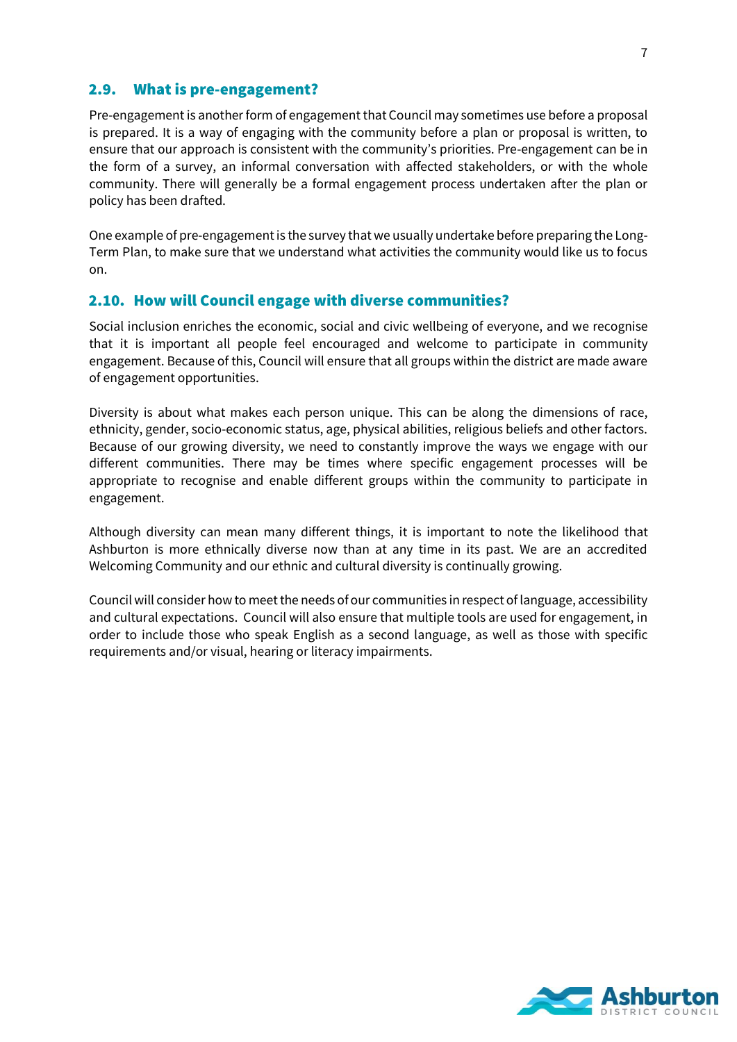#### 2.9. What is pre-engagement?

Pre-engagement is another form of engagement that Council may sometimes use before a proposal is prepared. It is a way of engaging with the community before a plan or proposal is written, to ensure that our approach is consistent with the community's priorities. Pre-engagement can be in the form of a survey, an informal conversation with affected stakeholders, or with the whole community. There will generally be a formal engagement process undertaken after the plan or policy has been drafted.

One example of pre-engagement is the survey that we usually undertake before preparing the Long-Term Plan, to make sure that we understand what activities the community would like us to focus on.

#### 2.10. How will Council engage with diverse communities?

Social inclusion enriches the economic, social and civic wellbeing of everyone, and we recognise that it is important all people feel encouraged and welcome to participate in community engagement. Because of this, Council will ensure that all groups within the district are made aware of engagement opportunities.

Diversity is about what makes each person unique. This can be along the dimensions of race, ethnicity, gender, socio-economic status, age, physical abilities, religious beliefs and other factors. Because of our growing diversity, we need to constantly improve the ways we engage with our different communities. There may be times where specific engagement processes will be appropriate to recognise and enable different groups within the community to participate in engagement.

Although diversity can mean many different things, it is important to note the likelihood that Ashburton is more ethnically diverse now than at any time in its past. We are an accredited Welcoming Community and our ethnic and cultural diversity is continually growing.

Council will consider how to meet the needs of our communities in respect of language, accessibility and cultural expectations. Council will also ensure that multiple tools are used for engagement, in order to include those who speak English as a second language, as well as those with specific requirements and/or visual, hearing or literacy impairments.

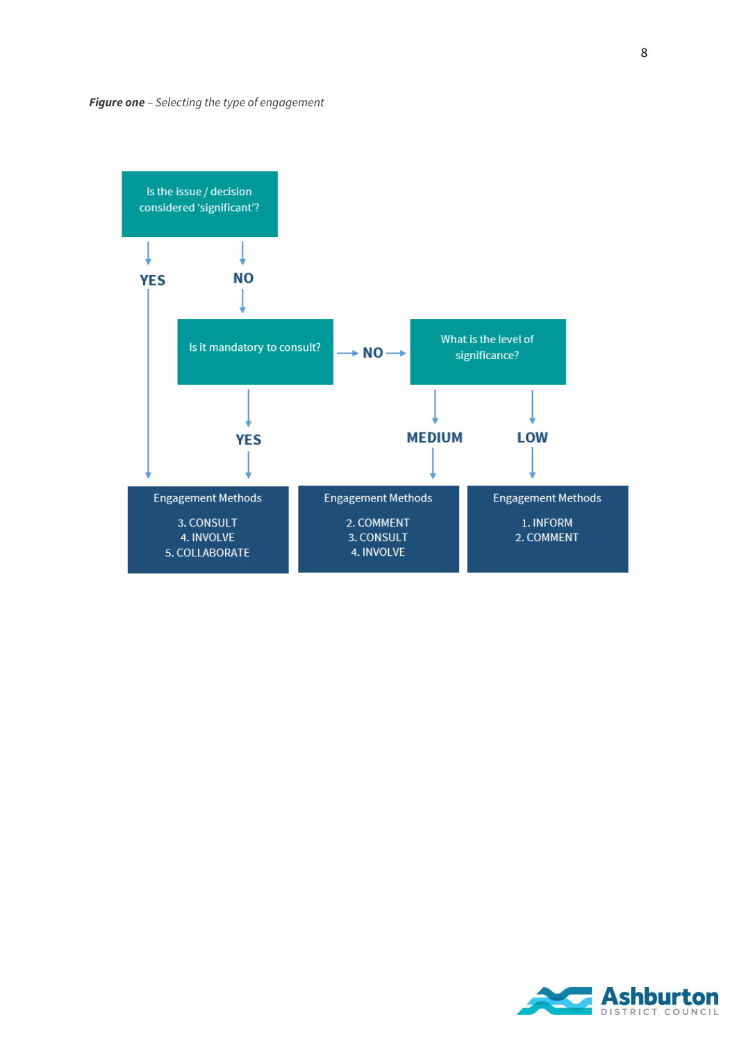

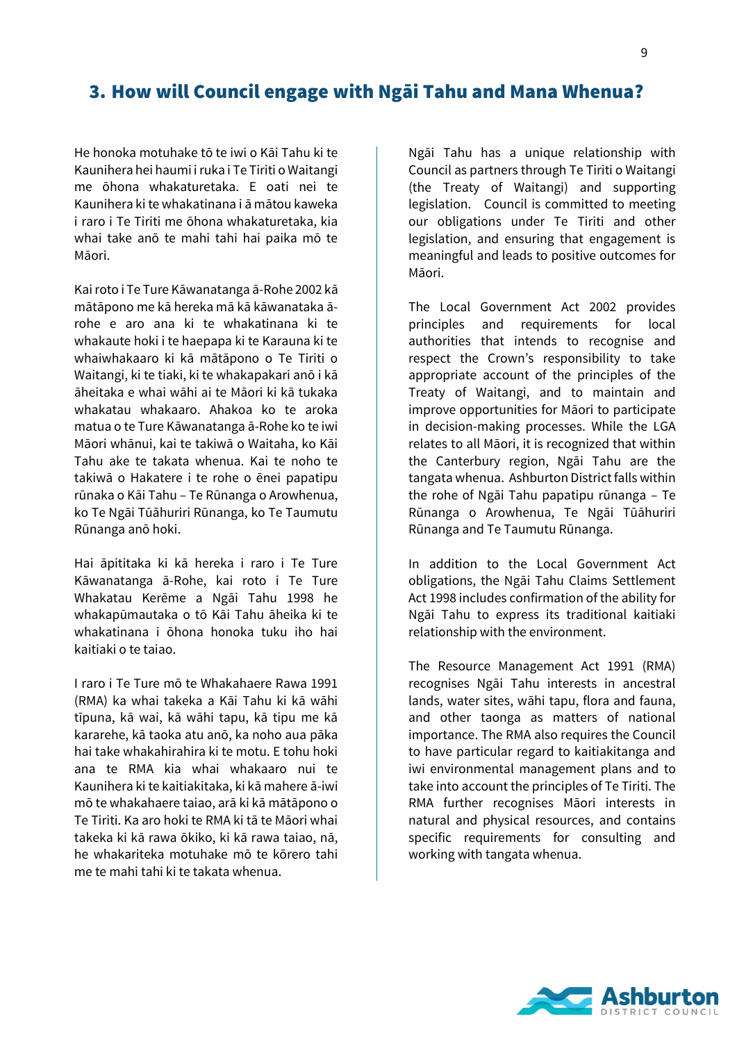## <span id="page-8-0"></span>3. How will Council engage with Ngāi Tahu and Mana Whenua?

He honoka motuhake tō te iwi o Kāi Tahu ki te Kaunihera hei haumi i ruka i Te Tiriti o Waitangi me ōhona whakaturetaka. E oati nei te Kaunihera ki te whakatinana i ā mātou kaweka i raro i Te Tiriti me ōhona whakaturetaka, kia whai take anō te mahi tahi hai paika mō te Māori.

Kairoto i Te Ture Kāwanatanga ā-Rohe 2002 kā mātāpono me kā hereka mā kā kāwanataka ārohe e aro ana ki te whakatinana ki te whakaute hoki i te haepapa ki te Karauna ki te whaiwhakaaro ki kā mātāpono o Te Tiriti o Waitangi, ki te tiaki, ki te whakapakari anō i kā āheitaka e whai wāhi ai te Māori ki kā tukaka whakatau whakaaro. Ahakoa ko te aroka matua o te Ture Kāwanatanga ā-Rohe ko te iwi Māori whānui, kai te takiwā o Waitaha, ko Kāi Tahu ake te takata whenua. Kai te noho te takiwā o Hakatere i te rohe o ēnei papatipu rūnaka o Kāi Tahu – Te Rūnanga o Arowhenua, ko Te Ngāi Tūāhuriri Rūnanga, ko Te Taumutu Rūnanga anō hoki.

Hai āpititaka ki kā hereka i raro i Te Ture Kāwanatanga ā-Rohe, kai roto i Te Ture Whakatau Kerēme a Ngāi Tahu 1998 he whakapūmautaka o tō Kāi Tahu āheika ki te whakatinana i ōhona honoka tuku iho hai kaitiaki o te taiao.

I raro i Te Ture mō te Whakahaere Rawa 1991 (RMA) ka whai takeka a Kāi Tahu ki kā wāhi tīpuna, kā wai, kā wāhi tapu, kā tipu me kā kararehe, kā taoka atu anō, ka noho aua pāka hai take whakahirahira ki te motu. E tohu hoki ana te RMA kia whai whakaaro nui te Kaunihera ki te kaitiakitaka, ki kā mahere ā-iwi mō te whakahaere taiao, arā ki kā mātāpono o Te Tiriti. Ka aro hoki te RMA ki tā te Māori whai takeka ki kā rawa ōkiko, ki kā rawa taiao, nā, he whakariteka motuhake mō te kōrero tahi me te mahi tahi ki te takata whenua.

Ngāi Tahu has a unique relationship with Council as partners through Te Tiriti o Waitangi (the Treaty of Waitangi) and supporting legislation. Council is committed to meeting our obligations under Te Tiriti and other legislation, and ensuring that engagement is meaningful and leads to positive outcomes for Māori.

The Local Government Act 2002 provides principles and requirements for local authorities that intends to recognise and respect the Crown's responsibility to take appropriate account of the principles of the Treaty of Waitangi, and to maintain and improve opportunities for Māori to participate in decision-making processes. While the LGA relates to all Māori, it is recognized that within the Canterbury region, Ngāi Tahu are the tangata whenua. Ashburton District falls within the rohe of Ngāi Tahu papatipu rūnanga – Te Rūnanga o Arowhenua, Te Ngāi Tūāhuriri Rūnanga and Te Taumutu Rūnanga.

In addition to the Local Government Act obligations, the Ngāi Tahu Claims Settlement Act 1998 includes confirmation of the ability for Ngāi Tahu to express its traditional kaitiaki relationship with the environment.

The Resource Management Act 1991 (RMA) recognises Ngāi Tahu interests in ancestral lands, water sites, wāhi tapu, flora and fauna, and other taonga as matters of national importance. The RMA also requires the Council to have particular regard to kaitiakitanga and iwi environmental management plans and to take into account the principles of Te Tiriti. The RMA further recognises Māori interests in natural and physical resources, and contains specific requirements for consulting and working with tangata whenua.

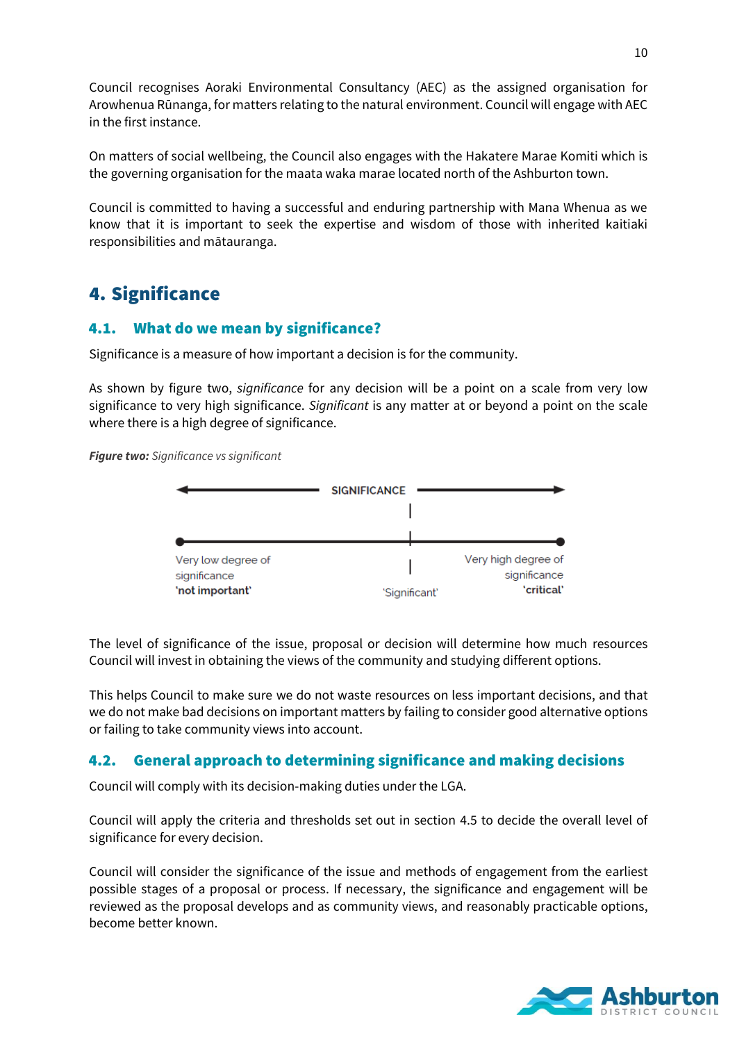Council recognises Aoraki Environmental Consultancy (AEC) as the assigned organisation for Arowhenua Rūnanga, for matters relating to the natural environment. Council will engage with AEC in the first instance.

On matters of social wellbeing, the Council also engages with the Hakatere Marae Komiti which is the governing organisation for the maata waka marae located north of the Ashburton town.

Council is committed to having a successful and enduring partnership with Mana Whenua as we know that it is important to seek the expertise and wisdom of those with inherited kaitiaki responsibilities and mātauranga.

# <span id="page-9-0"></span>4. Significance

#### 4.1. What do we mean by significance?

Significance is a measure of how important a decision is for the community.

As shown by figure two, *significance* for any decision will be a point on a scale from very low significance to very high significance. *Significant* is any matter at or beyond a point on the scale where there is a high degree of significance.

*Figure two: Significance vs significant*



The level of significance of the issue, proposal or decision will determine how much resources Council will invest in obtaining the views of the community and studying different options.

This helps Council to make sure we do not waste resources on less important decisions, and that we do not make bad decisions on important matters by failing to consider good alternative options or failing to take community views into account.

#### 4.2. General approach to determining significance and making decisions

Council will comply with its decision-making duties under the LGA.

Council will apply the criteria and thresholds set out in section 4.5 to decide the overall level of significance for every decision.

Council will consider the significance of the issue and methods of engagement from the earliest possible stages of a proposal or process. If necessary, the significance and engagement will be reviewed as the proposal develops and as community views, and reasonably practicable options, become better known.

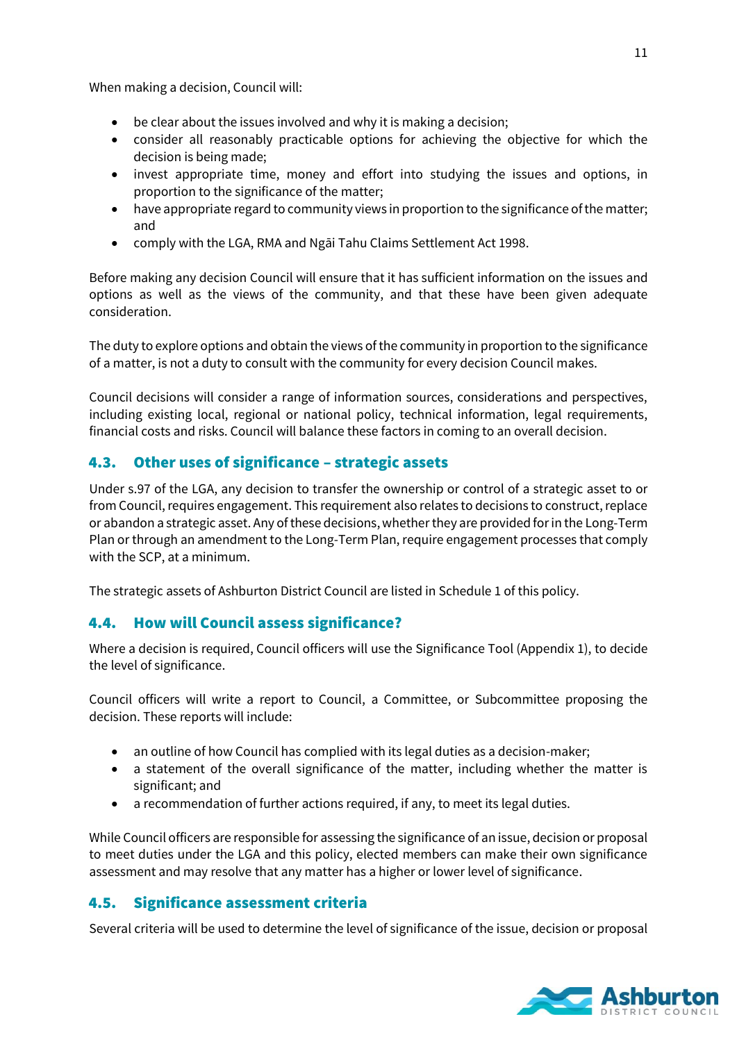When making a decision, Council will:

- be clear about the issues involved and why it is making a decision;
- consider all reasonably practicable options for achieving the objective for which the decision is being made;
- invest appropriate time, money and effort into studying the issues and options, in proportion to the significance of the matter;
- have appropriate regard to community views in proportion to the significance of the matter; and
- comply with the LGA, RMA and Ngāi Tahu Claims Settlement Act 1998.

Before making any decision Council will ensure that it has sufficient information on the issues and options as well as the views of the community, and that these have been given adequate consideration.

The duty to explore options and obtain the views of the community in proportion to the significance of a matter, is not a duty to consult with the community for every decision Council makes.

Council decisions will consider a range of information sources, considerations and perspectives, including existing local, regional or national policy, technical information, legal requirements, financial costs and risks. Council will balance these factors in coming to an overall decision.

#### 4.3. Other uses of significance – strategic assets

Under s.97 of the LGA, any decision to transfer the ownership or control of a strategic asset to or from Council, requires engagement. This requirement also relates to decisions to construct, replace or abandon a strategic asset. Any of these decisions, whether they are provided for in the Long-Term Plan or through an amendment to the Long-Term Plan, require engagement processes that comply with the SCP, at a minimum.

The strategic assets of Ashburton District Council are listed in Schedule 1 of this policy.

#### 4.4. How will Council assess significance?

Where a decision is required, Council officers will use the Significance Tool (Appendix 1), to decide the level of significance.

Council officers will write a report to Council, a Committee, or Subcommittee proposing the decision. These reports will include:

- an outline of how Council has complied with its legal duties as a decision-maker;
- a statement of the overall significance of the matter, including whether the matter is significant; and
- a recommendation of further actions required, if any, to meet its legal duties.

While Council officers are responsible for assessing the significance of an issue, decision or proposal to meet duties under the LGA and this policy, elected members can make their own significance assessment and may resolve that any matter has a higher or lower level of significance.

#### 4.5. Significance assessment criteria

Several criteria will be used to determine the level of significance of the issue, decision or proposal

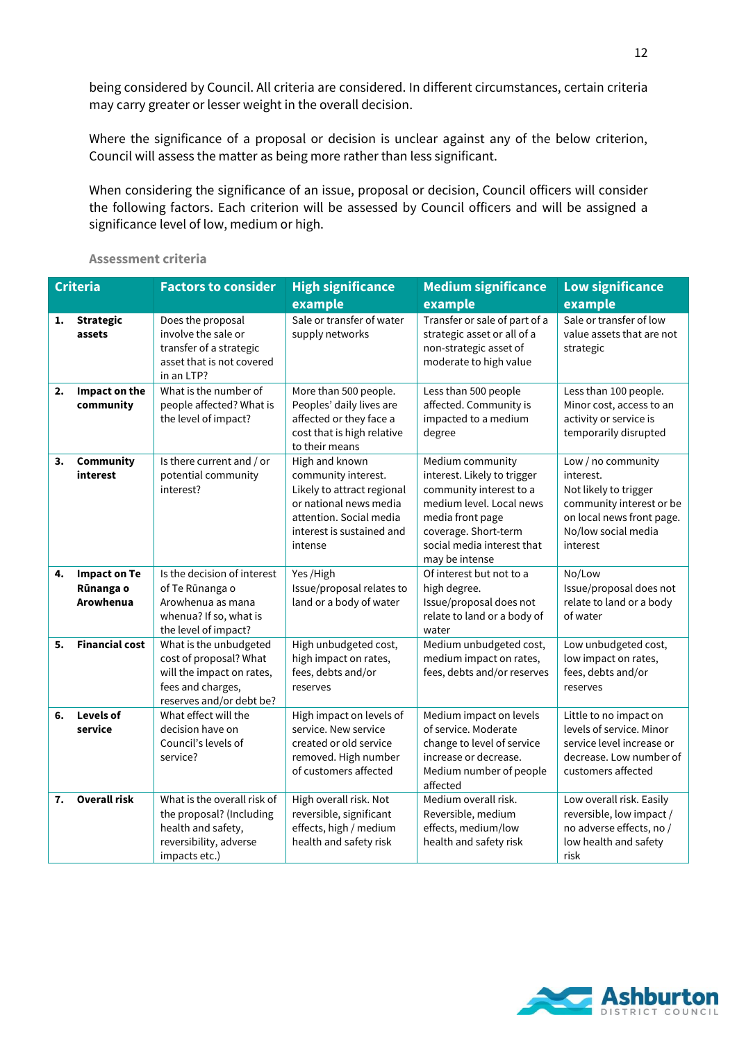being considered by Council. All criteria are considered. In different circumstances, certain criteria may carry greater or lesser weight in the overall decision.

Where the significance of a proposal or decision is unclear against any of the below criterion, Council will assess the matter as being more rather than less significant.

When considering the significance of an issue, proposal or decision, Council officers will consider the following factors. Each criterion will be assessed by Council officers and will be assigned a significance level of low, medium or high.

| <b>Criteria</b> |                                               | <b>Factors to consider</b>                                                                                                     | <b>High significance</b>                                                                                                                                         | <b>Medium significance</b>                                                                                                                                                                         | <b>Low significance</b>                                                                                                                              |
|-----------------|-----------------------------------------------|--------------------------------------------------------------------------------------------------------------------------------|------------------------------------------------------------------------------------------------------------------------------------------------------------------|----------------------------------------------------------------------------------------------------------------------------------------------------------------------------------------------------|------------------------------------------------------------------------------------------------------------------------------------------------------|
|                 |                                               |                                                                                                                                | example                                                                                                                                                          | example                                                                                                                                                                                            | example                                                                                                                                              |
| 1.              | <b>Strategic</b><br>assets                    | Does the proposal<br>involve the sale or<br>transfer of a strategic<br>asset that is not covered<br>in an LTP?                 | Sale or transfer of water<br>supply networks                                                                                                                     | Transfer or sale of part of a<br>strategic asset or all of a<br>non-strategic asset of<br>moderate to high value                                                                                   | Sale or transfer of low<br>value assets that are not<br>strategic                                                                                    |
| 2.              | Impact on the<br>community                    | What is the number of<br>people affected? What is<br>the level of impact?                                                      | More than 500 people.<br>Peoples' daily lives are<br>affected or they face a<br>cost that is high relative<br>to their means                                     | Less than 500 people<br>affected. Community is<br>impacted to a medium<br>degree                                                                                                                   | Less than 100 people.<br>Minor cost, access to an<br>activity or service is<br>temporarily disrupted                                                 |
| 3.              | <b>Community</b><br>interest                  | Is there current and / or<br>potential community<br>interest?                                                                  | High and known<br>community interest.<br>Likely to attract regional<br>or national news media<br>attention. Social media<br>interest is sustained and<br>intense | Medium community<br>interest. Likely to trigger<br>community interest to a<br>medium level. Local news<br>media front page<br>coverage. Short-term<br>social media interest that<br>may be intense | Low / no community<br>interest.<br>Not likely to trigger<br>community interest or be<br>on local news front page.<br>No/low social media<br>interest |
| 4.              | <b>Impact on Te</b><br>Rūnanga o<br>Arowhenua | Is the decision of interest<br>of Te Rūnanga o<br>Arowhenua as mana<br>whenua? If so, what is<br>the level of impact?          | Yes /High<br>Issue/proposal relates to<br>land or a body of water                                                                                                | Of interest but not to a<br>high degree.<br>Issue/proposal does not<br>relate to land or a body of<br>water                                                                                        | No/Low<br>Issue/proposal does not<br>relate to land or a body<br>of water                                                                            |
| 5.              | <b>Financial cost</b>                         | What is the unbudgeted<br>cost of proposal? What<br>will the impact on rates,<br>fees and charges,<br>reserves and/or debt be? | High unbudgeted cost,<br>high impact on rates,<br>fees, debts and/or<br>reserves                                                                                 | Medium unbudgeted cost,<br>medium impact on rates,<br>fees, debts and/or reserves                                                                                                                  | Low unbudgeted cost,<br>low impact on rates,<br>fees, debts and/or<br>reserves                                                                       |
| 6.              | Levels of<br>service                          | What effect will the<br>decision have on<br>Council's levels of<br>service?                                                    | High impact on levels of<br>service. New service<br>created or old service<br>removed. High number<br>of customers affected                                      | Medium impact on levels<br>of service. Moderate<br>change to level of service<br>increase or decrease.<br>Medium number of people<br>affected                                                      | Little to no impact on<br>levels of service. Minor<br>service level increase or<br>decrease. Low number of<br>customers affected                     |
| 7.              | <b>Overall risk</b>                           | What is the overall risk of<br>the proposal? (Including<br>health and safety,<br>reversibility, adverse<br>impacts etc.)       | High overall risk. Not<br>reversible, significant<br>effects, high / medium<br>health and safety risk                                                            | Medium overall risk.<br>Reversible, medium<br>effects, medium/low<br>health and safety risk                                                                                                        | Low overall risk. Easily<br>reversible, low impact /<br>no adverse effects, no /<br>low health and safety<br>risk                                    |

**Assessment criteria**

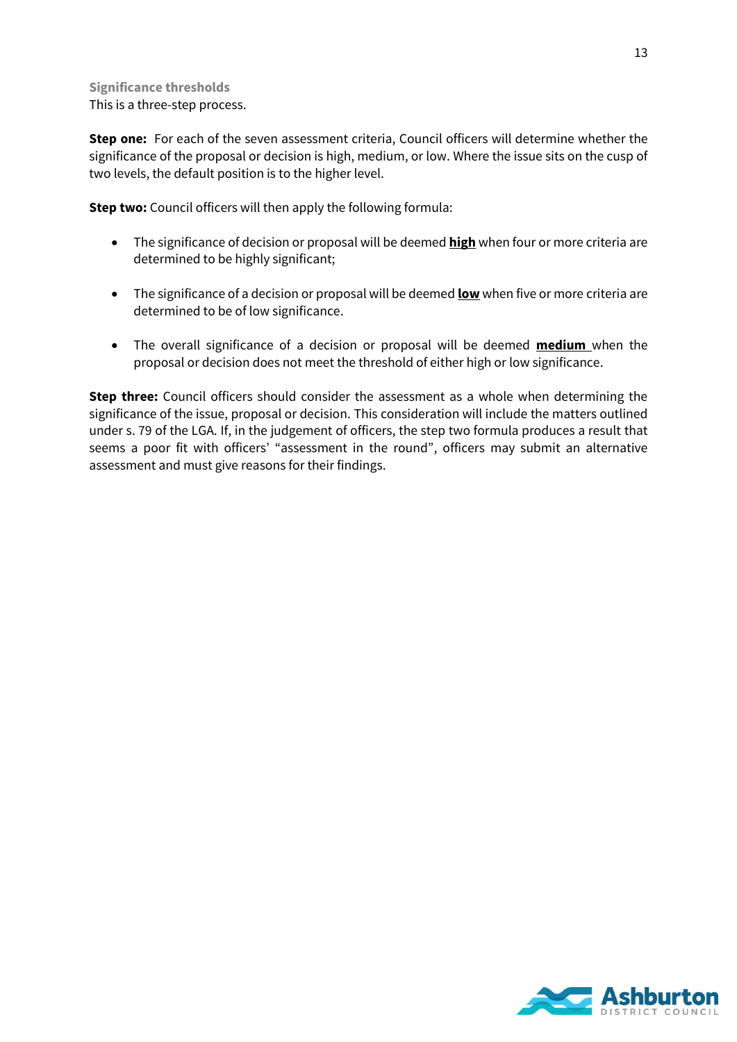#### **Significance thresholds** This is a three-step process.

**Step one:** For each of the seven assessment criteria, Council officers will determine whether the significance of the proposal or decision is high, medium, or low. Where the issue sits on the cusp of two levels, the default position is to the higher level.

**Step two:** Council officers will then apply the following formula:

- The significance of decision or proposal will be deemed **high** when four or more criteria are determined to be highly significant;
- The significance of a decision or proposal will be deemed **low** when five or more criteria are determined to be of low significance.
- The overall significance of a decision or proposal will be deemed **medium** when the proposal or decision does not meet the threshold of either high or low significance.

**Step three:** Council officers should consider the assessment as a whole when determining the significance of the issue, proposal or decision. This consideration will include the matters outlined under s. 79 of the LGA. If, in the judgement of officers, the step two formula produces a result that seems a poor fit with officers' "assessment in the round", officers may submit an alternative assessment and must give reasons for their findings.

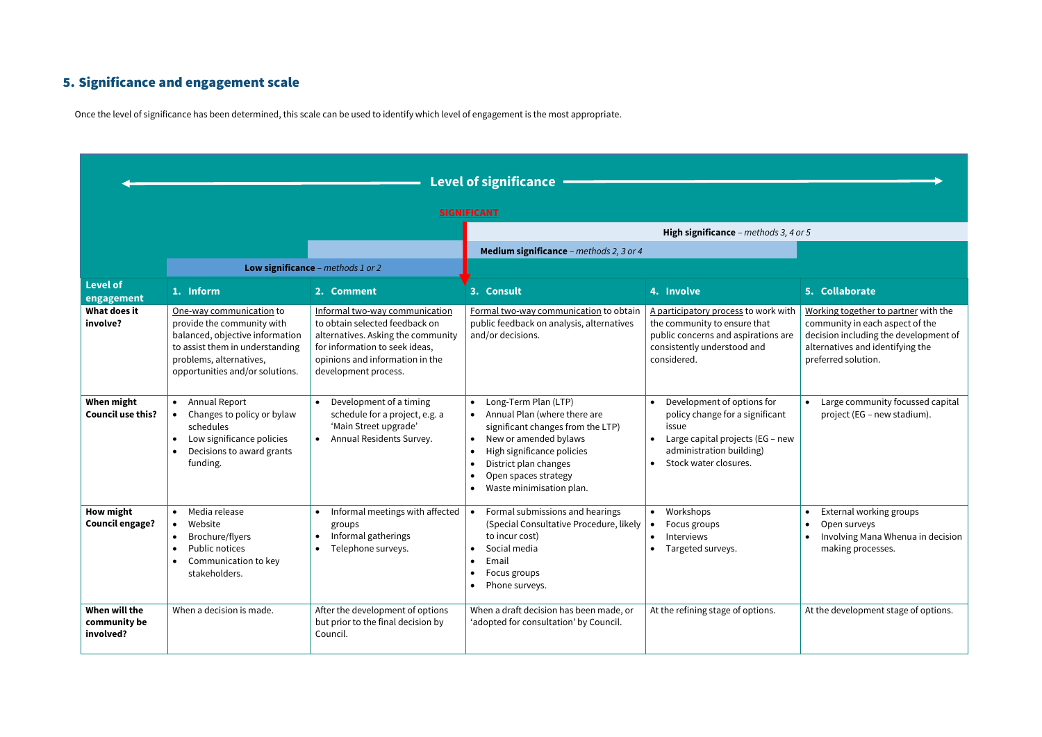# <span id="page-13-0"></span>5. Significance and engagement scale

Once the level of significance has been determined, this scale can be used to identify which level of engagement is the most appropriate.

|                                            | <b>Level of significance</b>                                                                                                                                                               |                                                                                                                                                                                                     |                                                                                                                                                                                                                               |                                                                                                                                                                 |                                                                                                                                                                             |
|--------------------------------------------|--------------------------------------------------------------------------------------------------------------------------------------------------------------------------------------------|-----------------------------------------------------------------------------------------------------------------------------------------------------------------------------------------------------|-------------------------------------------------------------------------------------------------------------------------------------------------------------------------------------------------------------------------------|-----------------------------------------------------------------------------------------------------------------------------------------------------------------|-----------------------------------------------------------------------------------------------------------------------------------------------------------------------------|
|                                            | <b>SIGNIFICANT</b>                                                                                                                                                                         |                                                                                                                                                                                                     |                                                                                                                                                                                                                               |                                                                                                                                                                 |                                                                                                                                                                             |
|                                            |                                                                                                                                                                                            |                                                                                                                                                                                                     |                                                                                                                                                                                                                               | High significance - methods 3, 4 or 5                                                                                                                           |                                                                                                                                                                             |
|                                            |                                                                                                                                                                                            | Low significance - methods 1 or 2                                                                                                                                                                   | Medium significance - methods 2, 3 or 4                                                                                                                                                                                       |                                                                                                                                                                 |                                                                                                                                                                             |
| <b>Level of</b><br>engagement              | 1. Inform                                                                                                                                                                                  | 2. Comment                                                                                                                                                                                          | 3. Consult                                                                                                                                                                                                                    | 4. Involve                                                                                                                                                      | 5. Collaborate                                                                                                                                                              |
| What does it<br>involve?                   | One-way communication to<br>provide the community with<br>balanced, objective information<br>to assist them in understanding<br>problems, alternatives,<br>opportunities and/or solutions. | Informal two-way communication<br>to obtain selected feedback on<br>alternatives. Asking the community<br>for information to seek ideas,<br>opinions and information in the<br>development process. | Formal two-way communication to obtain<br>public feedback on analysis, alternatives<br>and/or decisions.                                                                                                                      | A participatory process to work with<br>the community to ensure that<br>public concerns and aspirations are<br>consistently understood and<br>considered.       | Working together to partner with the<br>community in each aspect of the<br>decision including the development of<br>alternatives and identifying the<br>preferred solution. |
| When might<br><b>Council use this?</b>     | Annual Report<br>Changes to policy or bylaw<br>schedules<br>Low significance policies<br>Decisions to award grants<br>funding.                                                             | • Development of a timing<br>schedule for a project, e.g. a<br>'Main Street upgrade'<br>Annual Residents Survey.                                                                                    | Long-Term Plan (LTP)<br>Annual Plan (where there are<br>significant changes from the LTP)<br>New or amended bylaws<br>High significance policies<br>District plan changes<br>Open spaces strategy<br>Waste minimisation plan. | Development of options for<br>policy change for a significant<br>issue<br>Large capital projects (EG - new<br>administration building)<br>Stock water closures. | Large community focussed capital<br>project (EG – new stadium).                                                                                                             |
| <b>How might</b><br><b>Council engage?</b> | Media release<br>Website<br>$\bullet$<br>Brochure/flyers<br>Public notices<br>Communication to key<br>stakeholders.                                                                        | Informal meetings with affected<br>groups<br>Informal gatherings<br>Telephone surveys.                                                                                                              | Formal submissions and hearings<br>(Special Consultative Procedure, likely<br>to incur cost)<br>Social media<br>Email<br>Focus groups<br>Phone surveys.                                                                       | Workshops<br>$\bullet$<br>Focus groups<br>Interviews<br>Targeted surveys.                                                                                       | External working groups<br>Open surveys<br>Involving Mana Whenua in decision<br>making processes.                                                                           |
| When will the<br>community be<br>involved? | When a decision is made.                                                                                                                                                                   | After the development of options<br>but prior to the final decision by<br>Council.                                                                                                                  | When a draft decision has been made, or<br>'adopted for consultation' by Council.                                                                                                                                             | At the refining stage of options.                                                                                                                               | At the development stage of options.                                                                                                                                        |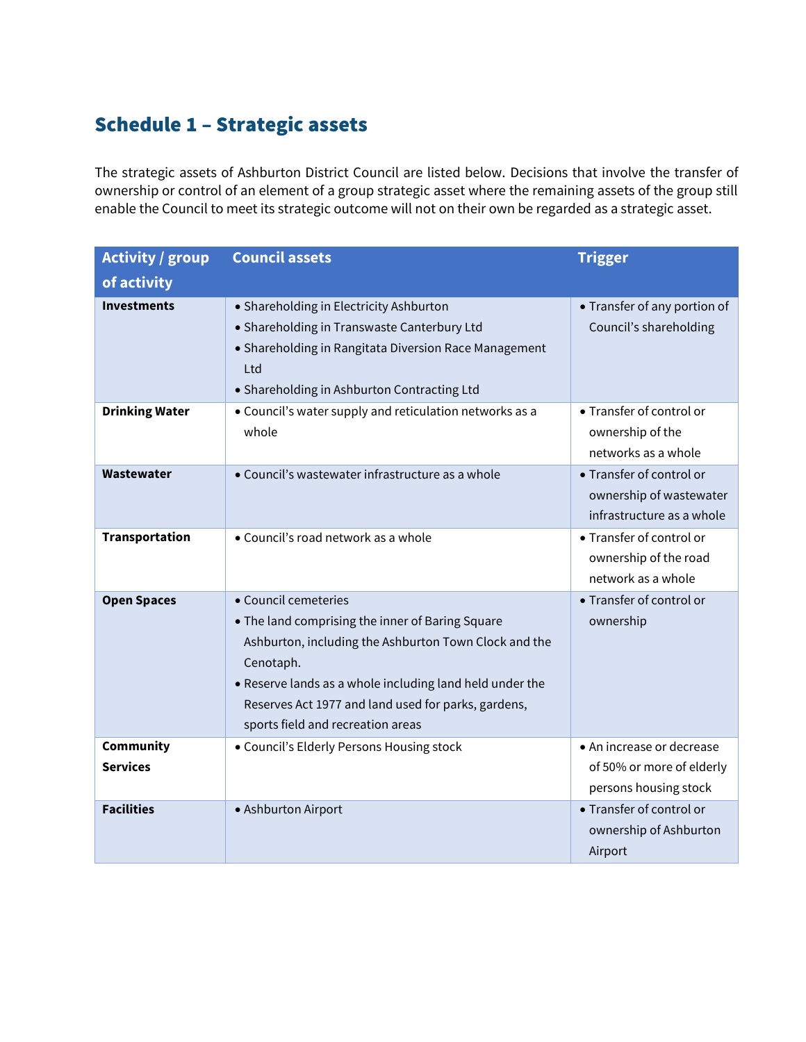# Schedule 1 – Strategic assets

<span id="page-14-0"></span>The strategic assets of Ashburton District Council are listed below. Decisions that involve the transfer of ownership or control of an element of a group strategic asset where the remaining assets of the group still enable the Council to meet its strategic outcome will not on their own be regarded as a strategic asset.

| <b>Activity / group</b>             | <b>Council assets</b>                                                                                                                                                                                                                                                                                  | <b>Trigger</b>                                                                   |  |
|-------------------------------------|--------------------------------------------------------------------------------------------------------------------------------------------------------------------------------------------------------------------------------------------------------------------------------------------------------|----------------------------------------------------------------------------------|--|
| of activity                         |                                                                                                                                                                                                                                                                                                        |                                                                                  |  |
| <b>Investments</b>                  | • Shareholding in Electricity Ashburton<br>• Shareholding in Transwaste Canterbury Ltd<br>• Shareholding in Rangitata Diversion Race Management<br>Ltd<br>• Shareholding in Ashburton Contracting Ltd                                                                                                  | • Transfer of any portion of<br>Council's shareholding                           |  |
| <b>Drinking Water</b>               | • Council's water supply and reticulation networks as a<br>whole                                                                                                                                                                                                                                       | • Transfer of control or<br>ownership of the<br>networks as a whole              |  |
| Wastewater                          | • Council's wastewater infrastructure as a whole                                                                                                                                                                                                                                                       | • Transfer of control or<br>ownership of wastewater<br>infrastructure as a whole |  |
| <b>Transportation</b>               | • Council's road network as a whole                                                                                                                                                                                                                                                                    | • Transfer of control or<br>ownership of the road<br>network as a whole          |  |
| <b>Open Spaces</b>                  | • Council cemeteries<br>• The land comprising the inner of Baring Square<br>Ashburton, including the Ashburton Town Clock and the<br>Cenotaph.<br>• Reserve lands as a whole including land held under the<br>Reserves Act 1977 and land used for parks, gardens,<br>sports field and recreation areas | • Transfer of control or<br>ownership                                            |  |
| <b>Community</b><br><b>Services</b> | • Council's Elderly Persons Housing stock                                                                                                                                                                                                                                                              | • An increase or decrease<br>of 50% or more of elderly<br>persons housing stock  |  |
| <b>Facilities</b>                   | • Ashburton Airport                                                                                                                                                                                                                                                                                    | • Transfer of control or<br>ownership of Ashburton<br>Airport                    |  |